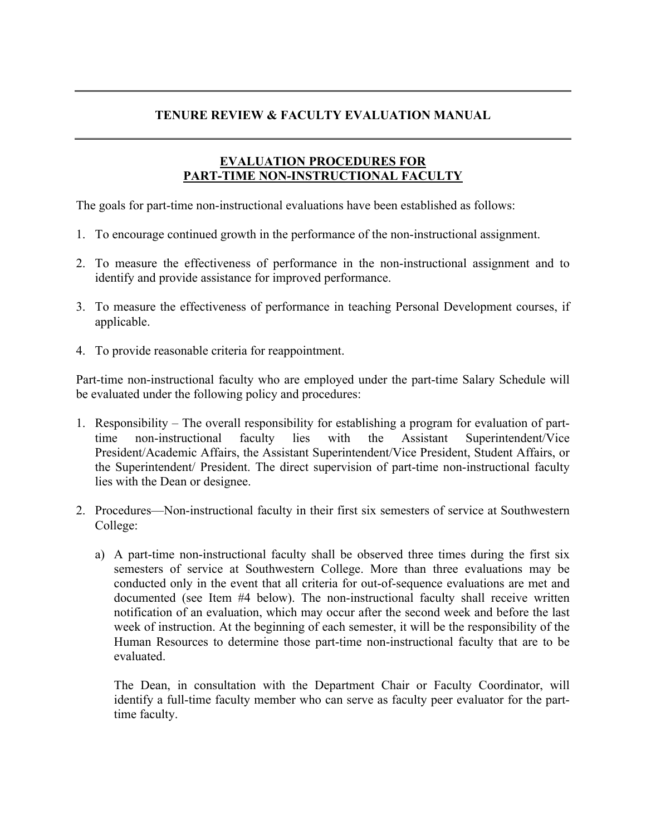## **TENURE REVIEW & FACULTY EVALUATION MANUAL**

## **EVALUATION PROCEDURES FOR PART-TIME NON-INSTRUCTIONAL FACULTY**

The goals for part-time non-instructional evaluations have been established as follows:

- 1. To encourage continued growth in the performance of the non-instructional assignment.
- 2. To measure the effectiveness of performance in the non-instructional assignment and to identify and provide assistance for improved performance.
- 3. To measure the effectiveness of performance in teaching Personal Development courses, if applicable.
- 4. To provide reasonable criteria for reappointment.

Part-time non-instructional faculty who are employed under the part-time Salary Schedule will be evaluated under the following policy and procedures:

- 1. Responsibility The overall responsibility for establishing a program for evaluation of parttime non-instructional faculty lies with the Assistant Superintendent/Vice President/Academic Affairs, the Assistant Superintendent/Vice President, Student Affairs, or the Superintendent/ President. The direct supervision of part-time non-instructional faculty lies with the Dean or designee.
- 2. Procedures—Non-instructional faculty in their first six semesters of service at Southwestern College:
	- a) A part-time non-instructional faculty shall be observed three times during the first six semesters of service at Southwestern College. More than three evaluations may be conducted only in the event that all criteria for out-of-sequence evaluations are met and documented (see Item #4 below). The non-instructional faculty shall receive written notification of an evaluation, which may occur after the second week and before the last week of instruction. At the beginning of each semester, it will be the responsibility of the Human Resources to determine those part-time non-instructional faculty that are to be evaluated.

The Dean, in consultation with the Department Chair or Faculty Coordinator, will identify a full-time faculty member who can serve as faculty peer evaluator for the parttime faculty.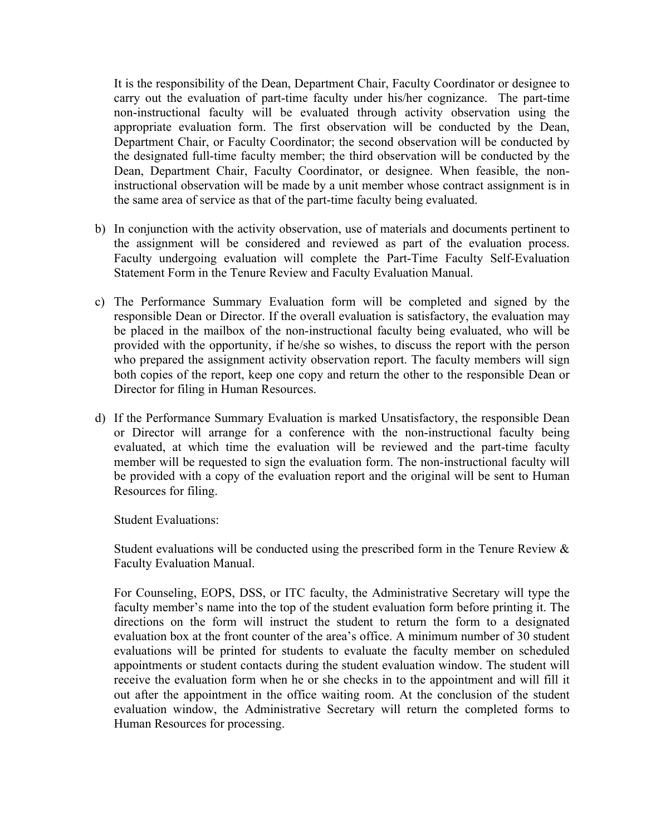It is the responsibility of the Dean, Department Chair, Faculty Coordinator or designee to carry out the evaluation of part-time faculty under his/her cognizance. The part-time non-instructional faculty will be evaluated through activity observation using the appropriate evaluation form. The first observation will be conducted by the Dean, Department Chair, or Faculty Coordinator; the second observation will be conducted by the designated full-time faculty member; the third observation will be conducted by the Dean, Department Chair, Faculty Coordinator, or designee. When feasible, the noninstructional observation will be made by a unit member whose contract assignment is in the same area of service as that of the part-time faculty being evaluated.

- b) In conjunction with the activity observation, use of materials and documents pertinent to the assignment will be considered and reviewed as part of the evaluation process. Faculty undergoing evaluation will complete the Part-Time Faculty Self-Evaluation Statement Form in the Tenure Review and Faculty Evaluation Manual.
- c) The Performance Summary Evaluation form will be completed and signed by the responsible Dean or Director. If the overall evaluation is satisfactory, the evaluation may be placed in the mailbox of the non-instructional faculty being evaluated, who will be provided with the opportunity, if he/she so wishes, to discuss the report with the person who prepared the assignment activity observation report. The faculty members will sign both copies of the report, keep one copy and return the other to the responsible Dean or Director for filing in Human Resources.
- d) If the Performance Summary Evaluation is marked Unsatisfactory, the responsible Dean or Director will arrange for a conference with the non-instructional faculty being evaluated, at which time the evaluation will be reviewed and the part-time faculty member will be requested to sign the evaluation form. The non-instructional faculty will be provided with a copy of the evaluation report and the original will be sent to Human Resources for filing.

Student Evaluations:

Student evaluations will be conducted using the prescribed form in the Tenure Review  $\&$ Faculty Evaluation Manual.

For Counseling, EOPS, DSS, or ITC faculty, the Administrative Secretary will type the faculty member's name into the top of the student evaluation form before printing it. The directions on the form will instruct the student to return the form to a designated evaluation box at the front counter of the area's office. A minimum number of 30 student evaluations will be printed for students to evaluate the faculty member on scheduled appointments or student contacts during the student evaluation window. The student will receive the evaluation form when he or she checks in to the appointment and will fill it out after the appointment in the office waiting room. At the conclusion of the student evaluation window, the Administrative Secretary will return the completed forms to Human Resources for processing.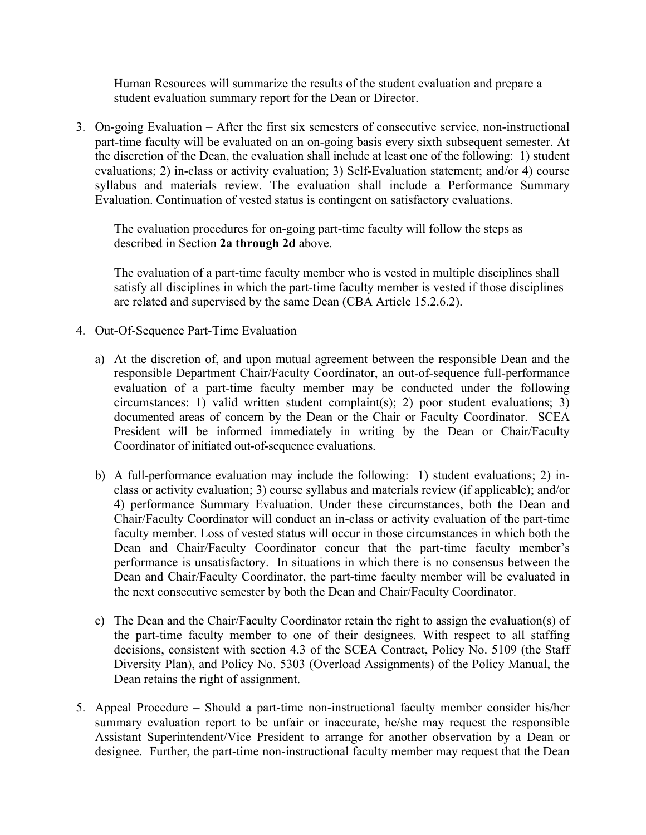Human Resources will summarize the results of the student evaluation and prepare a student evaluation summary report for the Dean or Director.

3. On-going Evaluation – After the first six semesters of consecutive service, non-instructional part-time faculty will be evaluated on an on-going basis every sixth subsequent semester. At the discretion of the Dean, the evaluation shall include at least one of the following: 1) student evaluations; 2) in-class or activity evaluation; 3) Self-Evaluation statement; and/or 4) course syllabus and materials review. The evaluation shall include a Performance Summary Evaluation. Continuation of vested status is contingent on satisfactory evaluations.

The evaluation procedures for on-going part-time faculty will follow the steps as described in Section **2a through 2d** above.

The evaluation of a part-time faculty member who is vested in multiple disciplines shall satisfy all disciplines in which the part-time faculty member is vested if those disciplines are related and supervised by the same Dean (CBA Article 15.2.6.2).

- 4. Out-Of-Sequence Part-Time Evaluation
	- a) At the discretion of, and upon mutual agreement between the responsible Dean and the responsible Department Chair/Faculty Coordinator, an out-of-sequence full-performance evaluation of a part-time faculty member may be conducted under the following circumstances: 1) valid written student complaint(s); 2) poor student evaluations; 3) documented areas of concern by the Dean or the Chair or Faculty Coordinator. SCEA President will be informed immediately in writing by the Dean or Chair/Faculty Coordinator of initiated out-of-sequence evaluations.
	- b) A full-performance evaluation may include the following: 1) student evaluations; 2) inclass or activity evaluation; 3) course syllabus and materials review (if applicable); and/or 4) performance Summary Evaluation. Under these circumstances, both the Dean and Chair/Faculty Coordinator will conduct an in-class or activity evaluation of the part-time faculty member. Loss of vested status will occur in those circumstances in which both the Dean and Chair/Faculty Coordinator concur that the part-time faculty member's performance is unsatisfactory. In situations in which there is no consensus between the Dean and Chair/Faculty Coordinator, the part-time faculty member will be evaluated in the next consecutive semester by both the Dean and Chair/Faculty Coordinator.
	- c) The Dean and the Chair/Faculty Coordinator retain the right to assign the evaluation(s) of the part-time faculty member to one of their designees. With respect to all staffing decisions, consistent with section 4.3 of the SCEA Contract, Policy No. 5109 (the Staff Diversity Plan), and Policy No. 5303 (Overload Assignments) of the Policy Manual, the Dean retains the right of assignment.
- 5. Appeal Procedure Should a part-time non-instructional faculty member consider his/her summary evaluation report to be unfair or inaccurate, he/she may request the responsible Assistant Superintendent/Vice President to arrange for another observation by a Dean or designee. Further, the part-time non-instructional faculty member may request that the Dean